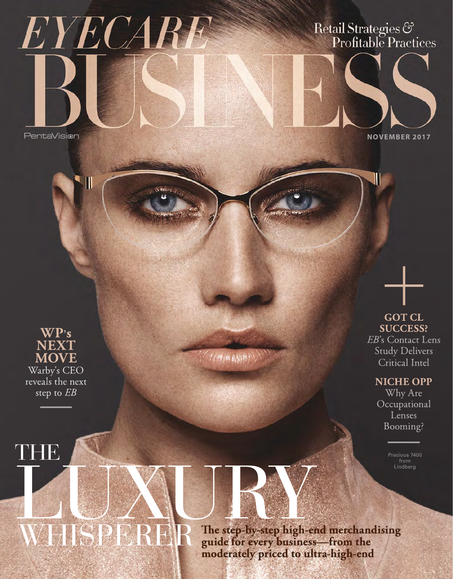# EYECARE

**TIVER SERVICE** 

PentaVision

 $\blacksquare$ 





**NOVEMBER 2017**

### **WP's NEXT MOVE** Warby's CEO reveals the next step to *EB*

THE

**GOT CL SUCCESS?** *EB*'s Contact Lens Study Delivers Critical Intel

 $^{'}+$ 

### **NICHE OPP**

Why Are **Occupational** Lenses Booming?

> Precious 7400 from Lindberg

## THE SAURY WHISPERER The step-by-step high-end merchandising

**guide for every business—from the moderately priced to ultra-high-end**

HORMANNAIN